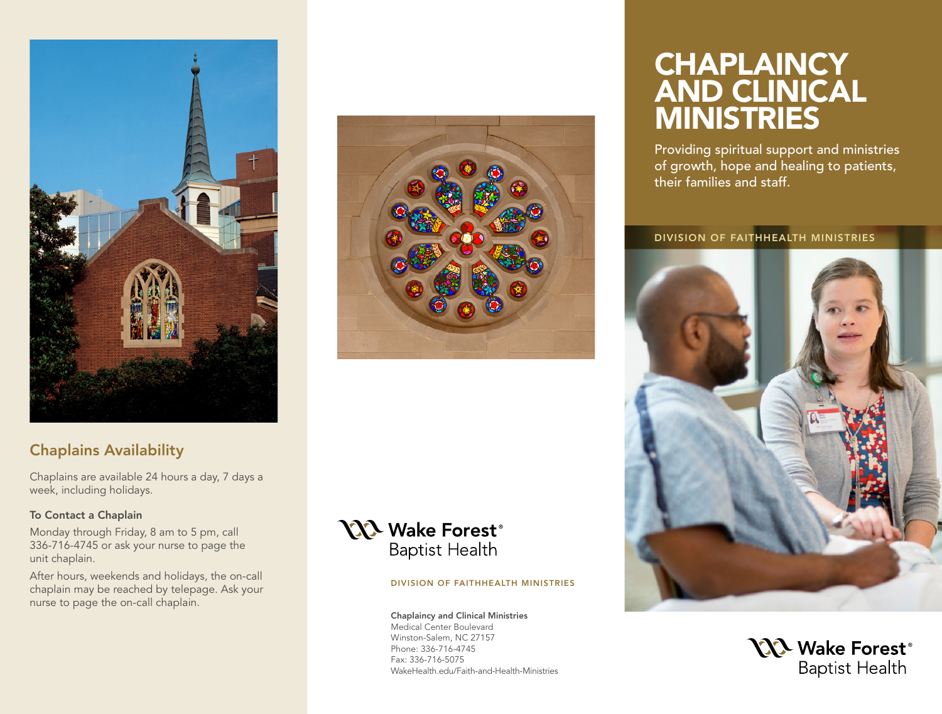

## Chaplains Availability

Chaplains are available 24 hours a day, 7 days a week, including holidays.

#### To Contact a Chaplain

Monday through Friday, 8 am to 5 pm, call 336-716-4745 or ask your nurse to page the unit chaplain.

After hours, weekends and holidays, the on-call chaplain may be reached by telepage. Ask your nurse to page the on-call chaplain.

## **NX** Wake Forest® **Baptist Health**

#### DIVISION OF FAITHHEALTH MINISTRIES

Chaplaincy and Clinical Ministries Medical Center Boulevard Winston-Salem, NC 27157 Phone: 336-716-4745 Fax: 336-716-5075 WakeHealth.edu/Faith-and-Health-Ministries

# **CHAPLAINCY** AND CLINICAL MINISTRIES

Providing spiritual support and ministries of growth, hope and healing to patients, their families and staff.

#### DIVISION OF FAITHHEALTH MINISTRIES